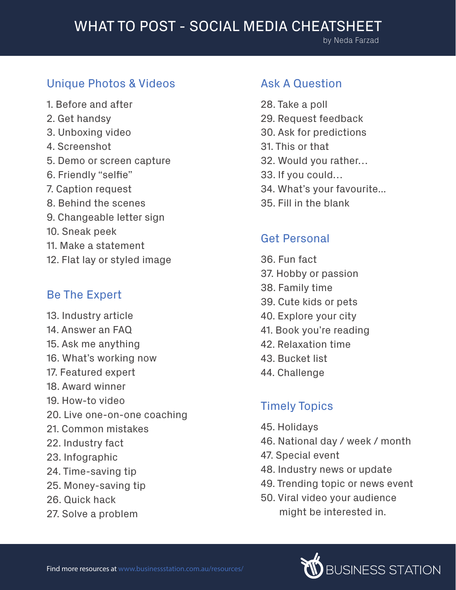### Unique Photos & Videos

- 1. Before and after
- 2. Get handsy
- 3. Unboxing video
- 4. Screenshot
- 5. Demo or screen capture
- 6. Friendly "selfie"
- 7. Caption request
- 8. Behind the scenes
- 9. Changeable letter sign
- 10. Sneak peek
- 11. Make a statement
- 12. Flat lay or styled image

#### Be The Expert

13. Industry article 14. Answer an FAQ 15. Ask me anything 16. What's working now 17. Featured expert 18. Award winner 19. How-to video 20. Live one-on-one coaching 21. Common mistakes 22. Industry fact 23. Infographic 24. Time-saving tip 25. Money-saving tip 26. Quick hack 27. Solve a problem

#### Ask A Question

28. Take a poll 29. Request feedback 30. Ask for predictions 31. This or that 32. Would you rather… 33. If you could… 34. What's your favourite... 35. Fill in the blank

#### Get Personal

- 36. Fun fact 37. Hobby or passion 38. Family time 39. Cute kids or pets 40. Explore your city 41. Book you're reading
- 42. Relaxation time
- 43. Bucket list
- 44. Challenge

### Timely Topics

- 45. Holidays
- 46. National day / week / month
- 47. Special event
- 48. Industry news or update
- 49. Trending topic or news event
- 50. Viral video your audience might be interested in.